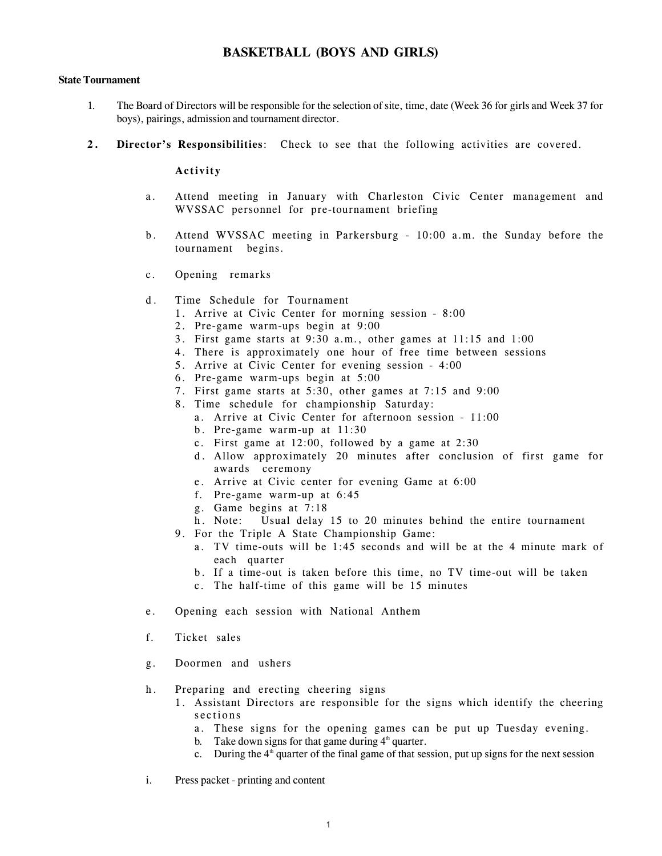## **BASKETBALL (BOYS AND GIRLS)**

### **State Tournament**

- 1. The Board of Directors will be responsible for the selection of site, time, date (Week 36 for girls and Week 37 for boys), pairings, admission and tournament director.
- **2. Director's Responsibilities**: Check to see that the following activities are covered.

#### **Activity**

- a. Attend meeting in January with Charleston Civic Center management and WVSSAC personnel for pre-tournament briefing
- b. Attend WVSSAC meeting in Parkersburg 10:00 a.m. the Sunday before the tournament begins.
- c. Opening remarks
- d. Time Schedule for Tournament
	- 1. Arrive at Civic Center for morning session 8:00
	- 2. Pre-game warm-ups begin at 9:00
	- 3. First game starts at 9:30 a.m., other games at 11:15 and 1:00
	- 4. There is approximately one hour of free time between sessions
	- 5. Arrive at Civic Center for evening session 4:00
	- 6. Pre-game warm-ups begin at 5:00
	- 7. First game starts at 5:30, other games at 7:15 and 9:00
	- 8. Time schedule for championship Saturday:
		- a. Arrive at Civic Center for afternoon session 11:00
		- b. Pre-game warm-up at 11:30
		- c. First game at 12:00, followed by a game at 2:30
		- d. Allow approximately 20 minutes after conclusion of first game for awards ceremony
		- e. Arrive at Civic center for evening Game at 6:00
		- f. Pre-game warm-up at 6:45
		- g. Game begins at 7:18
		- h. Note: Usual delay 15 to 20 minutes behind the entire tournament
	- 9. For the Triple A State Championship Game:
		- a. TV time-outs will be 1:45 seconds and will be at the 4 minute mark of each quarter
		- b. If a time-out is taken before this time, no TV time-out will be taken
		- c. The half-time of this game will be 15 minutes
- e. Opening each session with National Anthem
- f. Ticket sales
- g. Doormen and ushers
- h. Preparing and erecting cheering signs
	- 1. Assistant Directors are responsible for the signs which identify the cheering sections
		- a. These signs for the opening games can be put up Tuesday evening.
		- b. Take down signs for that game during  $4<sup>th</sup>$  quarter.
		- c. During the  $4<sup>th</sup>$  quarter of the final game of that session, put up signs for the next session
- i. Press packet printing and content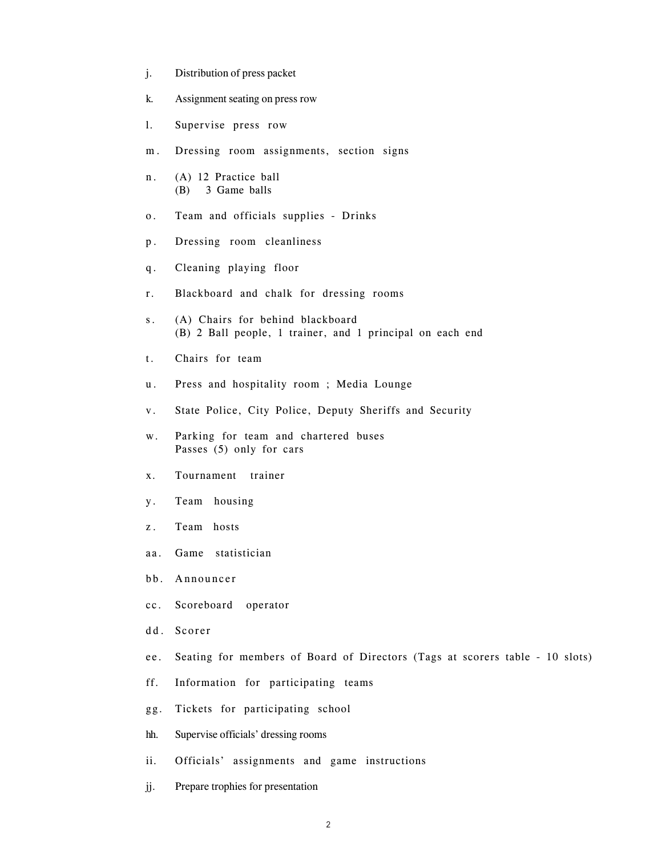- j. Distribution of press packet
- k. Assignment seating on press row
- l. Supervise press row
- m. Dressing room assignments, section signs
- n. (A) 12 Practice ball (B) 3 Game balls
- o. Team and officials supplies Drinks
- p. Dressing room cleanliness
- q. Cleaning playing floor
- r. Blackboard and chalk for dressing rooms
- s. (A) Chairs for behind blackboard (B) 2 Ball people, 1 trainer, and 1 principal on each end
- t. Chairs for team
- u. Press and hospitality room ; Media Lounge
- v. State Police, City Police, Deputy Sheriffs and Security
- w. Parking for team and chartered buses Passes (5) only for cars
- x. Tournament trainer
- y. Team housing
- z. Team hosts
- aa. Game statistician
- bb. Announcer
- cc. Scoreboard operator
- dd. Scorer
- ee. Seating for members of Board of Directors (Tags at scorers table 10 slots)
- ff. Information for participating teams
- gg. Tickets for participating school
- hh. Supervise officials' dressing rooms
- ii. Officials' assignments and game instructions
- jj. Prepare trophies for presentation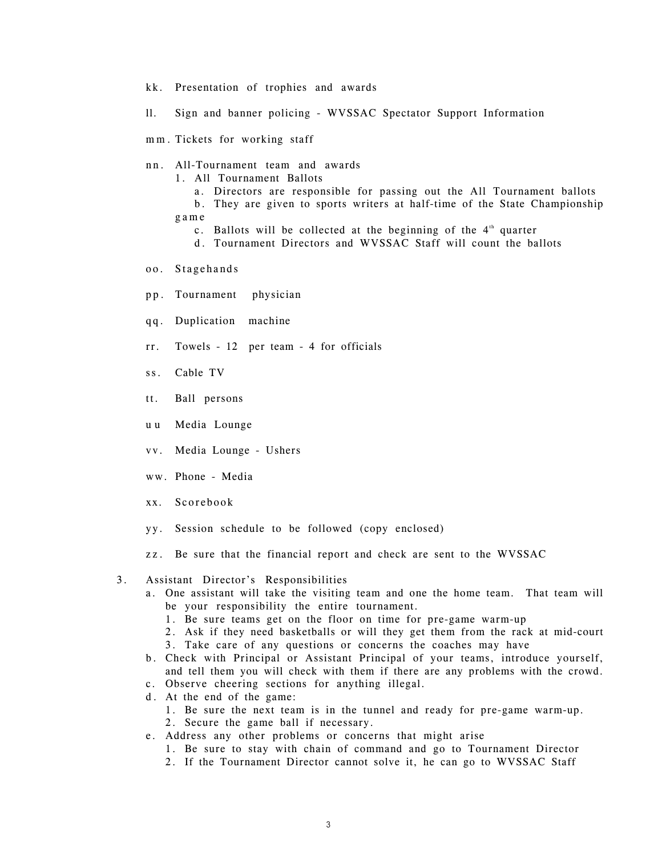- kk. Presentation of trophies and awards
- ll. Sign and banner policing WVSSAC Spectator Support Information
- mm. Tickets for working staff
- nn. All-Tournament team and awards
	- 1. All Tournament Ballots
		- a. Directors are responsible for passing out the All Tournament ballots
	- b. They are given to sports writers at half-time of the State Championship game
		- c. Ballots will be collected at the beginning of the  $4<sup>th</sup>$  quarter
		- d. Tournament Directors and WVSSAC Staff will count the ballots
- oo. Stagehands
- pp. Tournament physician
- qq. Duplication machine
- rr. Towels 12 per team 4 for officials
- ss. Cable TV
- tt. Ball persons
- u u Media Lounge
- vv. Media Lounge Ushers
- ww. Phone Media
- xx. Scorebook
- yy. Session schedule to be followed (copy enclosed)
- zz. Be sure that the financial report and check are sent to the WVSSAC

#### 3. Assistant Director's Responsibilities

- a. One assistant will take the visiting team and one the home team. That team will be your responsibility the entire tournament.
	- 1. Be sure teams get on the floor on time for pre-game warm-up
	- 2. Ask if they need basketballs or will they get them from the rack at mid-court 3. Take care of any questions or concerns the coaches may have
- b. Check with Principal or Assistant Principal of your teams, introduce yourself, and tell them you will check with them if there are any problems with the crowd.
- c. Observe cheering sections for anything illegal.
- d. At the end of the game:
	- 1. Be sure the next team is in the tunnel and ready for pre-game warm-up.
	- 2. Secure the game ball if necessary.
- e. Address any other problems or concerns that might arise
	- 1. Be sure to stay with chain of command and go to Tournament Director
	- 2. If the Tournament Director cannot solve it, he can go to WVSSAC Staff